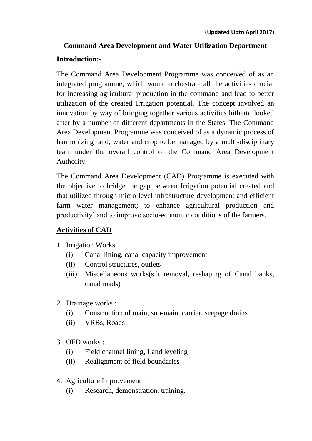# **Command Area Development and Water Utilization Department**

#### **Introduction:-**

The Command Area Development Programme was conceived of as an integrated programme, which would orchestrate all the activities crucial for increasing agricultural production in the command and lead to better utilization of the created Irrigation potential. The concept involved an innovation by way of bringing together various activities hitherto looked after by a number of different departments in the States. The Command Area Development Programme was conceived of as a dynamic process of harmonizing land, water and crop to be managed by a multi-disciplinary team under the overall control of the Command Area Development Authority.

The Command Area Development (CAD) Programme is executed with the objective to bridge the gap between Irrigation potential created and that utilized through micro level infrastructure development and efficient farm water management; to enhance agricultural production and productivity' and to improve socio-economic conditions of the farmers.

#### **Activities of CAD**

- 1. Irrigation Works:
	- (i) Canal lining, canal capacity improvement
	- (ii) Control structures, outlets
	- (iii) Miscellaneous works(silt removal, reshaping of Canal banks, canal roads)
- 2. Drainage works :
	- (i) Construction of main, sub-main, carrier, seepage drains
	- (ii) VRBs, Roads
- 3. OFD works :
	- (i) Field channel lining, Land leveling
	- (ii) Realignment of field boundaries
- 4. Agriculture Improvement :
	- (i) Research, demonstration, training.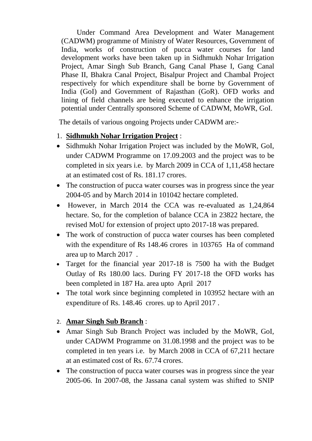Under Command Area Development and Water Management (CADWM) programme of Ministry of Water Resources, Government of India, works of construction of pucca water courses for land development works have been taken up in Sidhmukh Nohar Irrigation Project, Amar Singh Sub Branch, Gang Canal Phase I, Gang Canal Phase II, Bhakra Canal Project, Bisalpur Project and Chambal Project respectively for which expenditure shall be borne by Government of India (GoI) and Government of Rajasthan (GoR). OFD works and lining of field channels are being executed to enhance the irrigation potential under Centrally sponsored Scheme of CADWM, MoWR, GoI.

The details of various ongoing Projects under CADWM are:-

### 1. **Sidhmukh Nohar Irrigation Project** :

- Sidhmukh Nohar Irrigation Project was included by the MoWR, GoI, under CADWM Programme on 17.09.2003 and the project was to be completed in six years i.e. by March 2009 in CCA of 1,11,458 hectare at an estimated cost of Rs. 181.17 crores.
- The construction of pucca water courses was in progress since the year 2004-05 and by March 2014 in 101042 hectare completed.
- However, in March 2014 the CCA was re-evaluated as 1,24,864 hectare. So, for the completion of balance CCA in 23822 hectare, the revised MoU for extension of project upto 2017-18 was prepared.
- The work of construction of pucca water courses has been completed with the expenditure of Rs 148.46 crores in 103765 Ha of command area up to March 2017 .
- Target for the financial year 2017-18 is 7500 ha with the Budget Outlay of Rs 180.00 lacs. During FY 2017-18 the OFD works has been completed in 187 Ha. area upto April 2017
- The total work since beginning completed in 103952 hectare with an expenditure of Rs. 148.46 crores. up to April 2017 .

# 2. **Amar Singh Sub Branch** :

- Amar Singh Sub Branch Project was included by the MoWR, GoI, under CADWM Programme on 31.08.1998 and the project was to be completed in ten years i.e. by March 2008 in CCA of 67,211 hectare at an estimated cost of Rs. 67.74 crores.
- The construction of pucca water courses was in progress since the year 2005-06. In 2007-08, the Jassana canal system was shifted to SNIP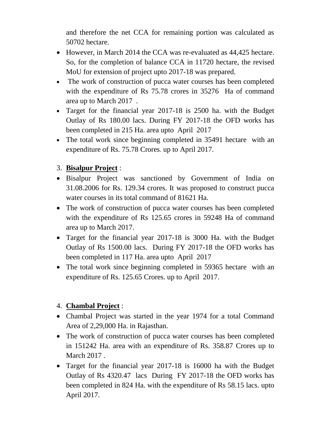and therefore the net CCA for remaining portion was calculated as 50702 hectare.

- However, in March 2014 the CCA was re-evaluated as 44,425 hectare. So, for the completion of balance CCA in 11720 hectare, the revised MoU for extension of project upto 2017-18 was prepared.
- The work of construction of pucca water courses has been completed with the expenditure of Rs 75.78 crores in 35276 Ha of command area up to March 2017 .
- Target for the financial year 2017-18 is 2500 ha. with the Budget Outlay of Rs 180.00 lacs. During FY 2017-18 the OFD works has been completed in 215 Ha. area upto April 2017
- The total work since beginning completed in 35491 hectare with an expenditure of Rs. 75.78 Crores. up to April 2017.

# 3. **Bisalpur Project** :

- Bisalpur Project was sanctioned by Government of India on 31.08.2006 for Rs. 129.34 crores. It was proposed to construct pucca water courses in its total command of 81621 Ha.
- The work of construction of pucca water courses has been completed with the expenditure of Rs 125.65 crores in 59248 Ha of command area up to March 2017.
- Target for the financial year 2017-18 is 3000 Ha. with the Budget Outlay of Rs 1500.00 lacs. During FY 2017-18 the OFD works has been completed in 117 Ha. area upto April 2017
- The total work since beginning completed in 59365 hectare with an expenditure of Rs. 125.65 Crores. up to April 2017.

# 4. **Chambal Project** :

- Chambal Project was started in the year 1974 for a total Command Area of 2,29,000 Ha. in Rajasthan.
- The work of construction of pucca water courses has been completed in 151242 Ha. area with an expenditure of Rs. 358.87 Crores up to March 2017 .
- Target for the financial year 2017-18 is 16000 ha with the Budget Outlay of Rs 4320.47 lacs During FY 2017-18 the OFD works has been completed in 824 Ha. with the expenditure of Rs 58.15 lacs. upto April 2017.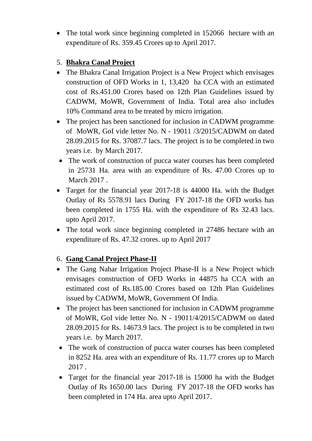• The total work since beginning completed in 152066 hectare with an expenditure of Rs. 359.45 Crores up to April 2017.

### 5. **Bhakra Canal Project**

- The Bhakra Canal Irrigation Project is a New Project which envisages construction of OFD Works in 1, 13,420 ha CCA with an estimated cost of Rs.451.00 Crores based on 12th Plan Guidelines issued by CADWM, MoWR, Government of India. Total area also includes 10% Command area to be treated by micro irrigation.
- The project has been sanctioned for inclusion in CADWM programme of MoWR, GoI vide letter No. N - 19011 /3/2015/CADWM on dated 28.09.2015 for Rs. 37087.7 lacs. The project is to be completed in two years i.e. by March 2017.
- The work of construction of pucca water courses has been completed in 25731 Ha. area with an expenditure of Rs. 47.00 Crores up to March 2017 .
- Target for the financial year 2017-18 is 44000 Ha. with the Budget Outlay of Rs 5578.91 lacs During FY 2017-18 the OFD works has been completed in 1755 Ha. with the expenditure of Rs 32.43 lacs. upto April 2017.
- The total work since beginning completed in 27486 hectare with an expenditure of Rs. 47.32 crores. up to April 2017

# 6. **Gang Canal Project Phase-II**

- The Gang Nahar Irrigation Project Phase-II is a New Project which envisages construction of OFD Works in 44875 ha CCA with an estimated cost of Rs.185.00 Crores based on 12th Plan Guidelines issued by CADWM, MoWR, Government Of India.
- The project has been sanctioned for inclusion in CADWM programme of MoWR, GoI vide letter No. N - 19011/4/2015/CADWM on dated 28.09.2015 for Rs. 14673.9 lacs. The project is to be completed in two years i.e. by March 2017.
- The work of construction of pucca water courses has been completed in 8252 Ha. area with an expenditure of Rs. 11.77 crores up to March 2017 .
- Target for the financial year 2017-18 is 15000 ha with the Budget Outlay of Rs 1650.00 lacs During FY 2017-18 the OFD works has been completed in 174 Ha. area upto April 2017.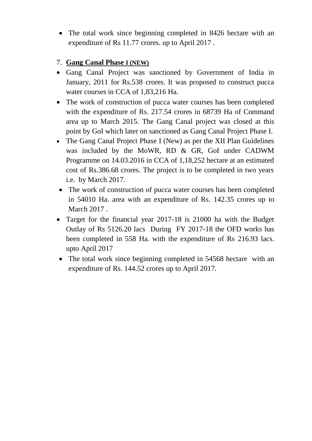• The total work since beginning completed in 8426 hectare with an expenditure of Rs 11.77 crores. up to April 2017 .

### 7. **Gang Canal Phase I (NEW)**

- Gang Canal Project was sanctioned by Government of India in January, 2011 for Rs.538 crores. It was proposed to construct pucca water courses in CCA of 1,83,216 Ha.
- The work of construction of pucca water courses has been completed with the expenditure of Rs. 217.54 crores in 68739 Ha of Command area up to March 2015. The Gang Canal project was closed at this point by GoI which later on sanctioned as Gang Canal Project Phase I.
- The Gang Canal Project Phase I (New) as per the XII Plan Guidelines was included by the MoWR, RD & GR, GoI under CADWM Programme on 14.03.2016 in CCA of 1,18,252 hectare at an estimated cost of Rs.386.68 crores. The project is to be completed in two years i.e. by March 2017.
- The work of construction of pucca water courses has been completed in 54010 Ha. area with an expenditure of Rs. 142.35 crores up to March 2017.
- Target for the financial year 2017-18 is 21000 ha with the Budget Outlay of Rs 5126.20 lacs During FY 2017-18 the OFD works has been completed in 558 Ha. with the expenditure of Rs 216.93 lacs. upto April 2017
- The total work since beginning completed in 54568 hectare with an expenditure of Rs. 144.52 crores up to April 2017.